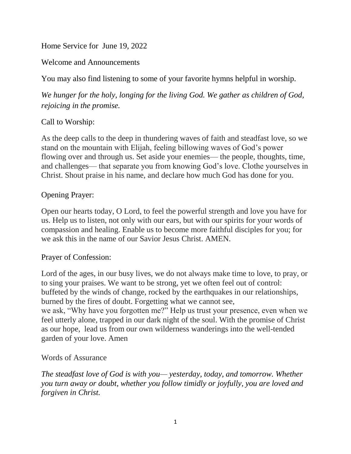Home Service for June 19, 2022

Welcome and Announcements

You may also find listening to some of your favorite hymns helpful in worship.

*We hunger for the holy, longing for the living God. We gather as children of God, rejoicing in the promise.*

## Call to Worship:

As the deep calls to the deep in thundering waves of faith and steadfast love, so we stand on the mountain with Elijah, feeling billowing waves of God's power flowing over and through us. Set aside your enemies— the people, thoughts, time, and challenges— that separate you from knowing God's love. Clothe yourselves in Christ. Shout praise in his name, and declare how much God has done for you.

## Opening Prayer:

Open our hearts today, O Lord, to feel the powerful strength and love you have for us. Help us to listen, not only with our ears, but with our spirits for your words of compassion and healing. Enable us to become more faithful disciples for you; for we ask this in the name of our Savior Jesus Christ. AMEN.

## Prayer of Confession:

Lord of the ages, in our busy lives, we do not always make time to love, to pray, or to sing your praises. We want to be strong, yet we often feel out of control: buffeted by the winds of change, rocked by the earthquakes in our relationships, burned by the fires of doubt. Forgetting what we cannot see, we ask, "Why have you forgotten me?" Help us trust your presence, even when we feel utterly alone, trapped in our dark night of the soul. With the promise of Christ as our hope, lead us from our own wilderness wanderings into the well-tended

## Words of Assurance

garden of your love. Amen

*The steadfast love of God is with you— yesterday, today, and tomorrow. Whether you turn away or doubt, whether you follow timidly or joyfully, you are loved and forgiven in Christ.*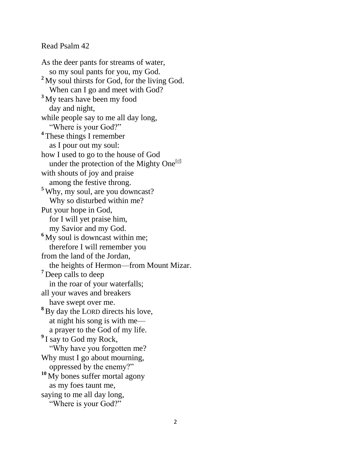#### Read Psalm 42

As the deer pants for streams of water, so my soul pants for you, my God. **<sup>2</sup>** My soul thirsts for God, for the living God. When can I go and meet with God? **<sup>3</sup>** My tears have been my food day and night, while people say to me all day long, "Where is your God?" **4** These things I remember as I pour out my soul: how I used to go to the house of God under the protection of the Mighty One<sup>[\[d\]](https://www.biblegateway.com/passage/?search=Psalm+42&version=NIV#fen-NIV-14560d)</sup> with shouts of joy and praise among the festive throng. **<sup>5</sup>** Why, my soul, are you downcast? Why so disturbed within me? Put your hope in God, for I will yet praise him, my Savior and my God. <sup>6</sup> My soul is downcast within me; therefore I will remember you from the land of the Jordan, the heights of Hermon—from Mount Mizar. **<sup>7</sup>** Deep calls to deep in the roar of your waterfalls; all your waves and breakers have swept over me. **<sup>8</sup>**By day the LORD directs his love, at night his song is with me a prayer to the God of my life. <sup>9</sup> I say to God my Rock, "Why have you forgotten me? Why must I go about mourning, oppressed by the enemy?" **<sup>10</sup>** My bones suffer mortal agony as my foes taunt me, saying to me all day long, "Where is your God?"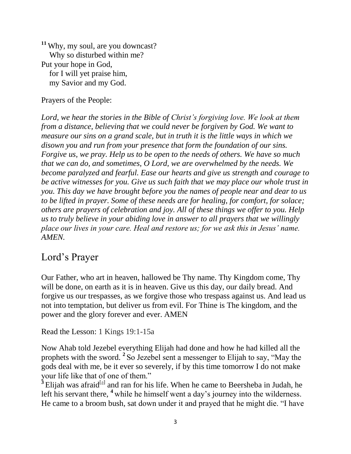**<sup>11</sup>** Why, my soul, are you downcast? Why so disturbed within me? Put your hope in God, for I will yet praise him, my Savior and my God.

Prayers of the People:

Lord, we hear the stories in the Bible of Christ's forgiving love. We look at them *from a distance, believing that we could never be forgiven by God. We want to measure our sins on a grand scale, but in truth it is the little ways in which we disown you and run from your presence that form the foundation of our sins. Forgive us, we pray. Help us to be open to the needs of others. We have so much that we can do, and sometimes, O Lord, we are overwhelmed by the needs. We become paralyzed and fearful. Ease our hearts and give us strength and courage to be active witnesses for you. Give us such faith that we may place our whole trust in you. This day we have brought before you the names of people near and dear to us to be lifted in prayer. Some of these needs are for healing, for comfort, for solace; others are prayers of celebration and joy. All of these things we offer to you. Help us to truly believe in your abiding love in answer to all prayers that we willingly place our lives in your care. Heal and restore us; for we ask this in Jesus' name. AMEN.*

# Lord's Prayer

Our Father, who art in heaven, hallowed be Thy name. Thy Kingdom come, Thy will be done, on earth as it is in heaven. Give us this day, our daily bread. And forgive us our trespasses, as we forgive those who trespass against us. And lead us not into temptation, but deliver us from evil. For Thine is The kingdom, and the power and the glory forever and ever. AMEN

Read the Lesson: 1 Kings 19:1-15a

Now Ahab told Jezebel everything Elijah had done and how he had killed all the prophets with the sword. **<sup>2</sup>** So Jezebel sent a messenger to Elijah to say, "May the gods deal with me, be it ever so severely, if by this time tomorrow I do not make your life like that of one of them."

<sup>3</sup> Elijah was afraid<sup>[\[a\]](https://www.biblegateway.com/passage/?search=1+Kings+19%3A1-15a&version=NIV#fen-NIV-9391a)</sup> and ran for his life. When he came to Beersheba in Judah, he left his servant there, <sup>4</sup> while he himself went a day's journey into the wilderness. He came to a broom bush, sat down under it and prayed that he might die. "I have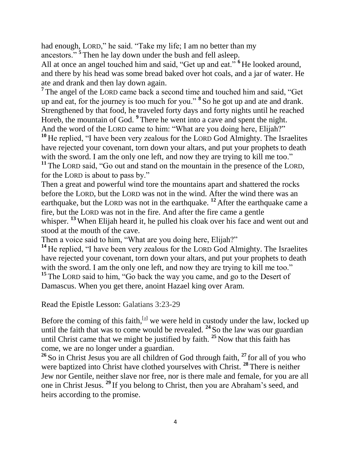had enough, LORD," he said. "Take my life; I am no better than my ancestors." **<sup>5</sup>** Then he lay down under the bush and fell asleep.

All at once an angel touched him and said, "Get up and eat." **<sup>6</sup>** He looked around, and there by his head was some bread baked over hot coals, and a jar of water. He ate and drank and then lay down again.

<sup>7</sup> The angel of the LORD came back a second time and touched him and said, "Get up and eat, for the journey is too much for you." **<sup>8</sup>** So he got up and ate and drank. Strengthened by that food, he traveled forty days and forty nights until he reached Horeb, the mountain of God. **<sup>9</sup>** There he went into a cave and spent the night. And the word of the LORD came to him: "What are you doing here, Elijah?"

**<sup>10</sup>** He replied, "I have been very zealous for the LORD God Almighty. The Israelites have rejected your covenant, torn down your altars, and put your prophets to death with the sword. I am the only one left, and now they are trying to kill me too." **<sup>11</sup>** The LORD said, "Go out and stand on the mountain in the presence of the LORD,

for the LORD is about to pass by."

Then a great and powerful wind tore the mountains apart and shattered the rocks before the LORD, but the LORD was not in the wind. After the wind there was an earthquake, but the LORD was not in the earthquake. **<sup>12</sup>** After the earthquake came a fire, but the LORD was not in the fire. And after the fire came a gentle whisper. <sup>13</sup> When Elijah heard it, he pulled his cloak over his face and went out and stood at the mouth of the cave.

Then a voice said to him, "What are you doing here, Elijah?"

**<sup>14</sup>** He replied, "I have been very zealous for the LORD God Almighty. The Israelites have rejected your covenant, torn down your altars, and put your prophets to death with the sword. I am the only one left, and now they are trying to kill me too." <sup>15</sup> The LORD said to him, "Go back the way you came, and go to the Desert of Damascus. When you get there, anoint Hazael king over Aram.

Read the Epistle Lesson: Galatians 3:23-29

Before the coming of this faith, $[a]$  we were held in custody under the law, locked up until the faith that was to come would be revealed. **<sup>24</sup>** So the law was our guardian until Christ came that we might be justified by faith. **<sup>25</sup>** Now that this faith has come, we are no longer under a guardian.

**<sup>26</sup>** So in Christ Jesus you are all children of God through faith, **<sup>27</sup>** for all of you who were baptized into Christ have clothed yourselves with Christ. **<sup>28</sup>** There is neither Jew nor Gentile, neither slave nor free, nor is there male and female, for you are all one in Christ Jesus. **<sup>29</sup>** If you belong to Christ, then you are Abraham's seed, and heirs according to the promise.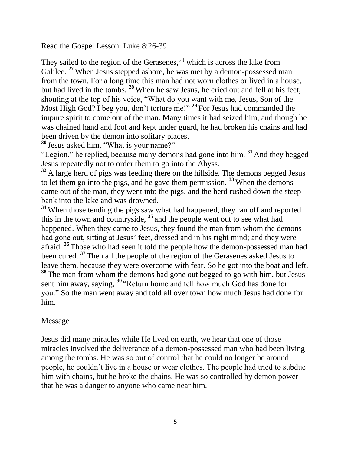Read the Gospel Lesson: Luke 8:26-39

They sailed to the region of the Gerasenes,  $[a]$  which is across the lake from Galilee. <sup>27</sup> When Jesus stepped ashore, he was met by a demon-possessed man from the town. For a long time this man had not worn clothes or lived in a house, but had lived in the tombs. **<sup>28</sup>** When he saw Jesus, he cried out and fell at his feet, shouting at the top of his voice, "What do you want with me, Jesus, Son of the Most High God? I beg you, don't torture me!" **<sup>29</sup>** For Jesus had commanded the impure spirit to come out of the man. Many times it had seized him, and though he was chained hand and foot and kept under guard, he had broken his chains and had been driven by the demon into solitary places.

**<sup>30</sup>** Jesus asked him, "What is your name?"

"Legion," he replied, because many demons had gone into him. **<sup>31</sup>** And they begged Jesus repeatedly not to order them to go into the Abyss.

<sup>32</sup> A large herd of pigs was feeding there on the hillside. The demons begged Jesus to let them go into the pigs, and he gave them permission. **<sup>33</sup>** When the demons came out of the man, they went into the pigs, and the herd rushed down the steep bank into the lake and was drowned.

<sup>34</sup> When those tending the pigs saw what had happened, they ran off and reported this in the town and countryside, **<sup>35</sup>** and the people went out to see what had happened. When they came to Jesus, they found the man from whom the demons had gone out, sitting at Jesus' feet, dressed and in his right mind; and they were afraid. **<sup>36</sup>** Those who had seen it told the people how the demon-possessed man had been cured. **<sup>37</sup>** Then all the people of the region of the Gerasenes asked Jesus to leave them, because they were overcome with fear. So he got into the boat and left. **<sup>38</sup>** The man from whom the demons had gone out begged to go with him, but Jesus sent him away, saying, **<sup>39</sup>** "Return home and tell how much God has done for you." So the man went away and told all over town how much Jesus had done for him.

### Message

Jesus did many miracles while He lived on earth, we hear that one of those miracles involved the deliverance of a demon-possessed man who had been living among the tombs. He was so out of control that he could no longer be around people, he couldn't live in a house or wear clothes. The people had tried to subdue him with chains, but he broke the chains. He was so controlled by demon power that he was a danger to anyone who came near him.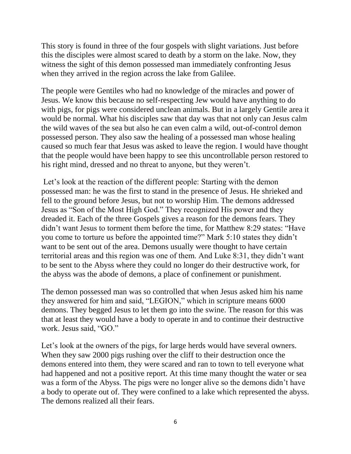This story is found in three of the four gospels with slight variations. Just before this the disciples were almost scared to death by a storm on the lake. Now, they witness the sight of this demon possessed man immediately confronting Jesus when they arrived in the region across the lake from Galilee.

The people were Gentiles who had no knowledge of the miracles and power of Jesus. We know this because no self-respecting Jew would have anything to do with pigs, for pigs were considered unclean animals. But in a largely Gentile area it would be normal. What his disciples saw that day was that not only can Jesus calm the wild waves of the sea but also he can even calm a wild, out-of-control demon possessed person. They also saw the healing of a possessed man whose healing caused so much fear that Jesus was asked to leave the region. I would have thought that the people would have been happy to see this uncontrollable person restored to his right mind, dressed and no threat to anyone, but they weren't.

Let's look at the reaction of the different people: Starting with the demon possessed man: he was the first to stand in the presence of Jesus. He shrieked and fell to the ground before Jesus, but not to worship Him. The demons addressed Jesus as "Son of the Most High God." They recognized His power and they dreaded it. Each of the three Gospels gives a reason for the demons fears. They didn't want Jesus to torment them before the time, for Matthew 8:29 states: "Have you come to torture us before the appointed time?" Mark 5:10 states they didn't want to be sent out of the area. Demons usually were thought to have certain territorial areas and this region was one of them. And Luke 8:31, they didn't want to be sent to the Abyss where they could no longer do their destructive work, for the abyss was the abode of demons, a place of confinement or punishment.

The demon possessed man was so controlled that when Jesus asked him his name they answered for him and said, "LEGION," which in scripture means 6000 demons. They begged Jesus to let them go into the swine. The reason for this was that at least they would have a body to operate in and to continue their destructive work. Jesus said, "GO."

Let's look at the owners of the pigs, for large herds would have several owners. When they saw 2000 pigs rushing over the cliff to their destruction once the demons entered into them, they were scared and ran to town to tell everyone what had happened and not a positive report. At this time many thought the water or sea was a form of the Abyss. The pigs were no longer alive so the demons didn't have a body to operate out of. They were confined to a lake which represented the abyss. The demons realized all their fears.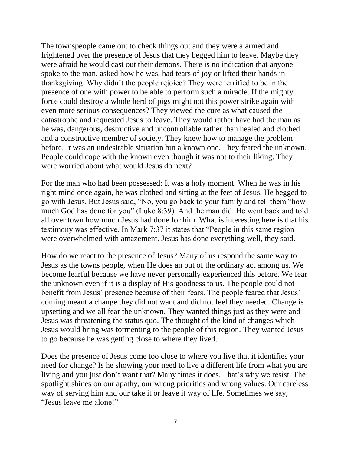The townspeople came out to check things out and they were alarmed and frightened over the presence of Jesus that they begged him to leave. Maybe they were afraid he would cast out their demons. There is no indication that anyone spoke to the man, asked how he was, had tears of joy or lifted their hands in thanksgiving. Why didn't the people rejoice? They were terrified to be in the presence of one with power to be able to perform such a miracle. If the mighty force could destroy a whole herd of pigs might not this power strike again with even more serious consequences? They viewed the cure as what caused the catastrophe and requested Jesus to leave. They would rather have had the man as he was, dangerous, destructive and uncontrollable rather than healed and clothed and a constructive member of society. They knew how to manage the problem before. It was an undesirable situation but a known one. They feared the unknown. People could cope with the known even though it was not to their liking. They were worried about what would Jesus do next?

For the man who had been possessed: It was a holy moment. When he was in his right mind once again, he was clothed and sitting at the feet of Jesus. He begged to go with Jesus. But Jesus said, "No, you go back to your family and tell them "how much God has done for you" (Luke 8:39). And the man did. He went back and told all over town how much Jesus had done for him. What is interesting here is that his testimony was effective. In Mark 7:37 it states that "People in this same region were overwhelmed with amazement. Jesus has done everything well, they said.

How do we react to the presence of Jesus? Many of us respond the same way to Jesus as the towns people, when He does an out of the ordinary act among us. We become fearful because we have never personally experienced this before. We fear the unknown even if it is a display of His goodness to us. The people could not benefit from Jesus' presence because of their fears. The people feared that Jesus' coming meant a change they did not want and did not feel they needed. Change is upsetting and we all fear the unknown. They wanted things just as they were and Jesus was threatening the status quo. The thought of the kind of changes which Jesus would bring was tormenting to the people of this region. They wanted Jesus to go because he was getting close to where they lived.

Does the presence of Jesus come too close to where you live that it identifies your need for change? Is he showing your need to live a different life from what you are living and you just don't want that? Many times it does. That's why we resist. The spotlight shines on our apathy, our wrong priorities and wrong values. Our careless way of serving him and our take it or leave it way of life. Sometimes we say, "Jesus leave me alone!"